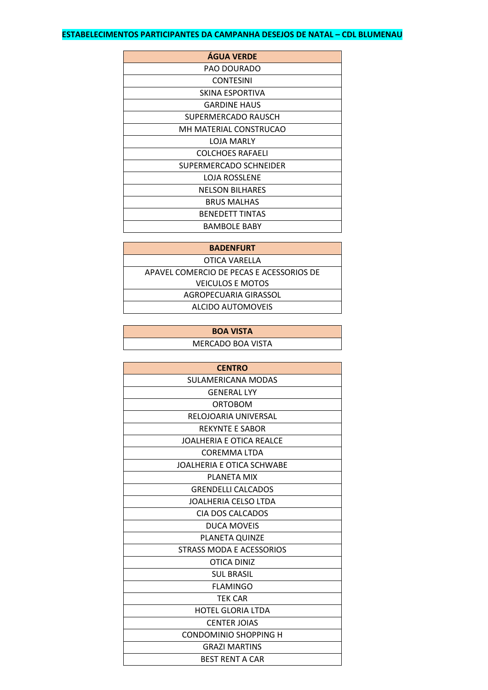## **ESTABELECIMENTOS PARTICIPANTES DA CAMPANHA DESEJOS DE NATAL - CDL BLUMENAU**

| <b>AGUA VERDE</b>      |
|------------------------|
| <b>PAO DOURADO</b>     |
| <b>CONTESINI</b>       |
| SKINA ESPORTIVA        |
| <b>GARDINE HAUS</b>    |
| SUPERMERCADO RAUSCH    |
| MH MATERIAL CONSTRUCAO |
| <b>LOJA MARLY</b>      |
| COLCHOES RAFAELI       |
| SUPERMERCADO SCHNEIDER |
| LOJA ROSSLENE          |
| <b>NELSON BILHARES</b> |
| <b>BRUS MALHAS</b>     |
| <b>BENEDETT TINTAS</b> |
| <b>BAMBOLE BABY</b>    |

| <b>BADENFURT</b>                         |  |
|------------------------------------------|--|
| OTICA VARELLA                            |  |
| APAVEL COMERCIO DE PECAS E ACESSORIOS DE |  |
| <b>VEICULOS E MOTOS</b>                  |  |
| AGROPECUARIA GIRASSOL                    |  |
| ALCIDO AUTOMOVEIS                        |  |

| <b>BOA VISTA</b>  |  |
|-------------------|--|
| MERCADO BOA VISTA |  |

| <b>CENTRO</b>                   |
|---------------------------------|
| SULAMERICANA MODAS              |
| <b>GENERAL LYY</b>              |
| <b>ORTOBOM</b>                  |
| RELOJOARIA UNIVERSAL            |
| <b>REKYNTE E SABOR</b>          |
| <b>JOALHERIA E OTICA REALCE</b> |
| <b>COREMMA LTDA</b>             |
| JOALHERIA E OTICA SCHWABE       |
| PLANETA MIX                     |
| <b>GRENDELLI CALCADOS</b>       |
| JOALHERIA CELSO LTDA            |
| CIA DOS CALCADOS                |
| <b>DUCA MOVEIS</b>              |
| <b>PLANETA QUINZE</b>           |
| STRASS MODA E ACESSORIOS        |
| OTICA DINIZ                     |
| <b>SUL BRASIL</b>               |
| <b>FLAMINGO</b>                 |
| <b>TEK CAR</b>                  |
| <b>HOTEL GLORIA LTDA</b>        |
| <b>CENTER JOIAS</b>             |
| CONDOMINIO SHOPPING H           |
| <b>GRAZI MARTINS</b>            |
| <b>BEST RENT A CAR</b>          |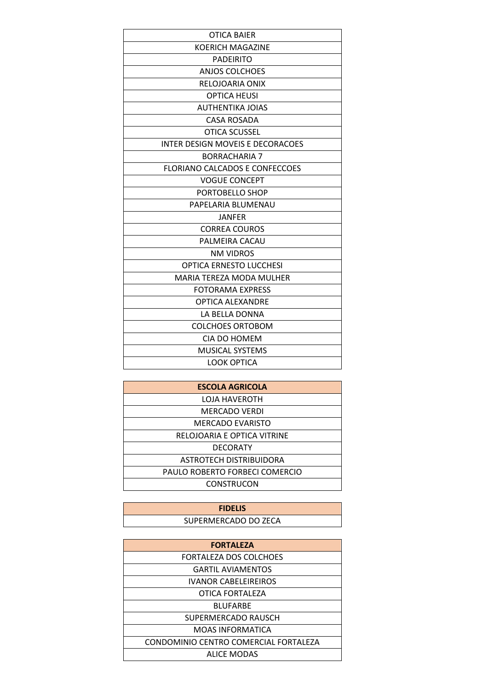| <b>KOERICH MAGAZINE</b><br><b>PADEIRITO</b><br>ANJOS COLCHOES<br>RELOJOARIA ONIX<br><b>OPTICA HEUSI</b><br><b>AUTHENTIKA JOIAS</b><br><b>CASA ROSADA</b><br>OTICA SCUSSEL<br>INTER DESIGN MOVEIS E DECORACOES<br><b>BORRACHARIA 7</b><br><b>FLORIANO CALCADOS E CONFECCOES</b><br><b>VOGUE CONCEPT</b><br>PORTOBELLO SHOP<br>PAPELARIA BLUMENAU<br>JANFER<br><b>CORREA COUROS</b><br>PALMEIRA CACAU<br><b>NM VIDROS</b><br><b>OPTICA ERNESTO LUCCHESI</b><br>MARIA TEREZA MODA MULHER<br><b>FOTORAMA EXPRESS</b><br><b>OPTICA ALEXANDRE</b><br>LA BELLA DONNA<br><b>COLCHOES ORTOBOM</b><br>CIA DO HOMEM<br><b>MUSICAL SYSTEMS</b><br>LOOK OPTICA | <b>OTICA BAIER</b> |
|---------------------------------------------------------------------------------------------------------------------------------------------------------------------------------------------------------------------------------------------------------------------------------------------------------------------------------------------------------------------------------------------------------------------------------------------------------------------------------------------------------------------------------------------------------------------------------------------------------------------------------------------------|--------------------|
|                                                                                                                                                                                                                                                                                                                                                                                                                                                                                                                                                                                                                                                   |                    |
|                                                                                                                                                                                                                                                                                                                                                                                                                                                                                                                                                                                                                                                   |                    |
|                                                                                                                                                                                                                                                                                                                                                                                                                                                                                                                                                                                                                                                   |                    |
|                                                                                                                                                                                                                                                                                                                                                                                                                                                                                                                                                                                                                                                   |                    |
|                                                                                                                                                                                                                                                                                                                                                                                                                                                                                                                                                                                                                                                   |                    |
|                                                                                                                                                                                                                                                                                                                                                                                                                                                                                                                                                                                                                                                   |                    |
|                                                                                                                                                                                                                                                                                                                                                                                                                                                                                                                                                                                                                                                   |                    |
|                                                                                                                                                                                                                                                                                                                                                                                                                                                                                                                                                                                                                                                   |                    |
|                                                                                                                                                                                                                                                                                                                                                                                                                                                                                                                                                                                                                                                   |                    |
|                                                                                                                                                                                                                                                                                                                                                                                                                                                                                                                                                                                                                                                   |                    |
|                                                                                                                                                                                                                                                                                                                                                                                                                                                                                                                                                                                                                                                   |                    |
|                                                                                                                                                                                                                                                                                                                                                                                                                                                                                                                                                                                                                                                   |                    |
|                                                                                                                                                                                                                                                                                                                                                                                                                                                                                                                                                                                                                                                   |                    |
|                                                                                                                                                                                                                                                                                                                                                                                                                                                                                                                                                                                                                                                   |                    |
|                                                                                                                                                                                                                                                                                                                                                                                                                                                                                                                                                                                                                                                   |                    |
|                                                                                                                                                                                                                                                                                                                                                                                                                                                                                                                                                                                                                                                   |                    |
|                                                                                                                                                                                                                                                                                                                                                                                                                                                                                                                                                                                                                                                   |                    |
|                                                                                                                                                                                                                                                                                                                                                                                                                                                                                                                                                                                                                                                   |                    |
|                                                                                                                                                                                                                                                                                                                                                                                                                                                                                                                                                                                                                                                   |                    |
|                                                                                                                                                                                                                                                                                                                                                                                                                                                                                                                                                                                                                                                   |                    |
|                                                                                                                                                                                                                                                                                                                                                                                                                                                                                                                                                                                                                                                   |                    |
|                                                                                                                                                                                                                                                                                                                                                                                                                                                                                                                                                                                                                                                   |                    |
|                                                                                                                                                                                                                                                                                                                                                                                                                                                                                                                                                                                                                                                   |                    |
|                                                                                                                                                                                                                                                                                                                                                                                                                                                                                                                                                                                                                                                   |                    |
|                                                                                                                                                                                                                                                                                                                                                                                                                                                                                                                                                                                                                                                   |                    |
|                                                                                                                                                                                                                                                                                                                                                                                                                                                                                                                                                                                                                                                   |                    |
|                                                                                                                                                                                                                                                                                                                                                                                                                                                                                                                                                                                                                                                   |                    |

| <b>ESCOLA AGRICOLA</b>         |
|--------------------------------|
| <b>LOJA HAVEROTH</b>           |
| <b>MERCADO VERDI</b>           |
| MERCADO EVARISTO               |
| RELOJOARIA E OPTICA VITRINE    |
| <b>DECORATY</b>                |
| ASTROTECH DISTRIBUIDORA        |
| PAULO ROBERTO FORBECI COMERCIO |
| <b>CONSTRUCON</b>              |

| <b>FIDELIS</b>       |  |
|----------------------|--|
| SUPERMERCADO DO ZECA |  |

| <b>FORTALEZA</b>                      |
|---------------------------------------|
| <b>FORTALEZA DOS COLCHOES</b>         |
| <b>GARTIL AVIAMENTOS</b>              |
| <b>IVANOR CABELEIREIROS</b>           |
| OTICA FORTALEZA                       |
| <b>BLUFARBE</b>                       |
| SUPERMERCADO RAUSCH                   |
| <b>MOAS INFORMATICA</b>               |
| CONDOMINIO CENTRO COMERCIAL FORTALEZA |
| <b>ALICE MODAS</b>                    |
|                                       |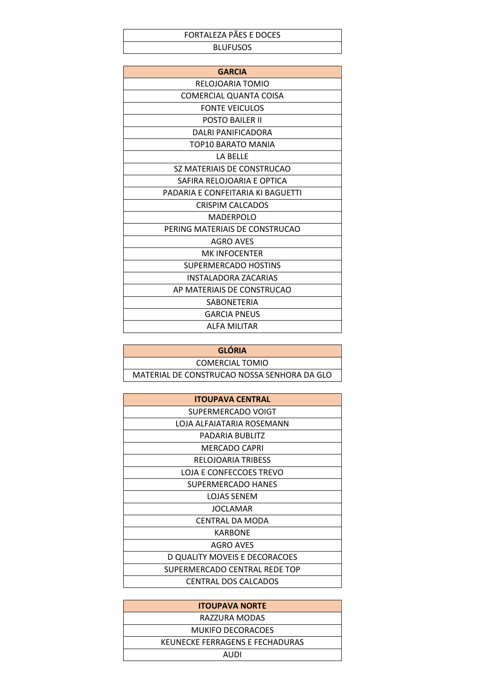## FORTALEZA PÃES E DOCES **BLUFUSOS**

| <b>GARCIA</b>                     |
|-----------------------------------|
| RELOJOARIA TOMIO                  |
| COMERCIAL QUANTA COISA            |
| <b>FONTE VEICULOS</b>             |
| <b>POSTO BAILER II</b>            |
| DALRI PANIFICADORA                |
| TOP10 BARATO MANIA                |
| LA BELLE                          |
| SZ MATERIAIS DE CONSTRUCAO        |
| SAFIRA RELOJOARIA E OPTICA        |
| PADARIA E CONFEITARIA KI BAGUETTI |
| <b>CRISPIM CALCADOS</b>           |
| MADERPOLO                         |
| PERING MATERIAIS DE CONSTRUCAO    |
| <b>AGRO AVES</b>                  |
| <b>MK INFOCENTER</b>              |
| SUPERMERCADO HOSTINS              |
| <b>INSTALADORA ZACARIAS</b>       |
| AP MATERIAIS DE CONSTRUCAO        |
| <b>SABONETERIA</b>                |
| GARCIA PNEUS                      |
| ALFA MILITAR                      |

| <b>GLÓRIA</b>                               |
|---------------------------------------------|
| COMERCIAL TOMIO                             |
| MATERIAL DE CONSTRUCAO NOSSA SENHORA DA GLO |

| <b>ITOUPAVA CENTRAL</b>       |
|-------------------------------|
| SUPERMERCADO VOIGT            |
| LOJA ALFAIATARIA ROSEMANN     |
| PADARIA BUBLITZ               |
| MERCADO CAPRI                 |
| RELOJOARIA TRIBESS            |
| LOJA E CONFECCOES TREVO       |
| SUPERMERCADO HANES            |
| <b>LOJAS SENEM</b>            |
| <b>JOCLAMAR</b>               |
| CENTRAL DA MODA               |
| <b>KARBONE</b>                |
| AGRO AVES                     |
| D QUALITY MOVEIS E DECORACOES |
| SUPERMERCADO CENTRAL REDE TOP |
| <b>CENTRAL DOS CALCADOS</b>   |

| <b>ITOUPAVA NORTE</b>           |
|---------------------------------|
| RAZZURA MODAS                   |
| <b>MUKIFO DECORACOES</b>        |
| KEUNECKE FERRAGENS E FECHADURAS |
| AUDI                            |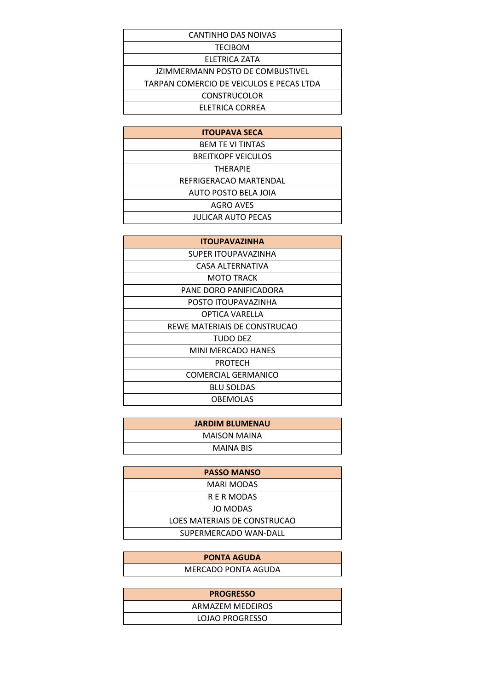| CANTINHO DAS NOIVAS                      |  |
|------------------------------------------|--|
| <b>TECIBOM</b>                           |  |
| ELETRICA ZATA                            |  |
| JZIMMERMANN POSTO DE COMBUSTIVEL         |  |
| TARPAN COMERCIO DE VEICULOS E PECAS LTDA |  |
| <b>CONSTRUCOLOR</b>                      |  |
| ELETRICA CORREA                          |  |
|                                          |  |

| <b>ITOUPAVA SECA</b>      |
|---------------------------|
| <b>BEM TE VI TINTAS</b>   |
| <b>BREITKOPF VEICULOS</b> |
| <b>THERAPIE</b>           |
| REFRIGERACAO MARTENDAL    |
| AUTO POSTO BELA JOIA      |
| <b>AGRO AVES</b>          |
| <b>JULICAR AUTO PECAS</b> |

| <b>ITOUPAVAZINHA</b>         |
|------------------------------|
| SUPER ITOUPAVAZINHA          |
| CASA ALTERNATIVA             |
| <b>MOTO TRACK</b>            |
| PANE DORO PANIFICADORA       |
| POSTO ITOUPAVAZINHA          |
| OPTICA VARELLA               |
| REWE MATERIAIS DE CONSTRUCAO |
| TUDO DEZ                     |
| MINI MERCADO HANES           |
| PROTECH                      |
| COMERCIAL GERMANICO          |
| <b>BLU SOLDAS</b>            |
| <b>OBEMOLAS</b>              |

| <b>JARDIM BLUMENAU</b> |
|------------------------|
| <b>MAISON MAINA</b>    |
| <b>MAINA BIS</b>       |

| <b>PASSO MANSO</b>           |
|------------------------------|
| MARI MODAS                   |
| R E R MODAS                  |
| JO MODAS                     |
| LOES MATERIAIS DE CONSTRUCAO |
| SUPERMERCADO WAN-DALL        |

| <b>PONTA AGUDA</b>  |
|---------------------|
| MERCADO PONTA AGUDA |
|                     |

| <b>PROGRESSO</b> |
|------------------|
| ARMAZEM MEDEIROS |
| LOJAO PROGRESSO  |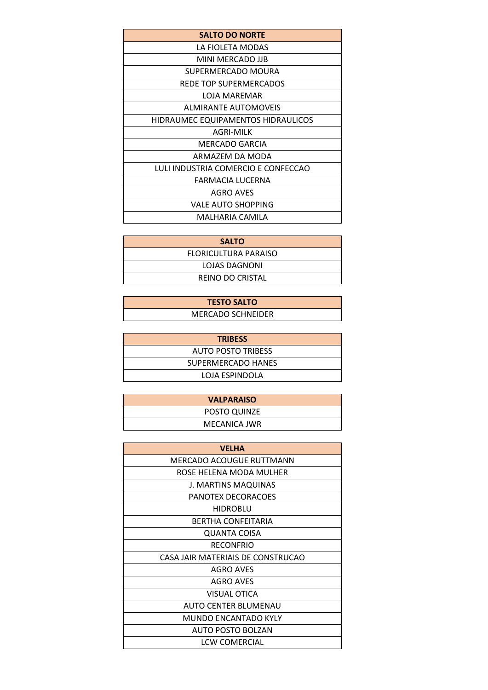| <b>SALTO DO NORTE</b>               |
|-------------------------------------|
| LA FIOLETA MODAS                    |
| MINI MERCADO JJB                    |
| SUPERMERCADO MOURA                  |
| REDE TOP SUPERMERCADOS              |
| LOJA MAREMAR                        |
| <b>ALMIRANTE AUTOMOVEIS</b>         |
| HIDRAUMEC EQUIPAMENTOS HIDRAULICOS  |
| AGRI-MILK                           |
| MERCADO GARCIA                      |
| ARMAZEM DA MODA                     |
| LULI INDUSTRIA COMERCIO E CONFECCAO |
| FARMACIA LUCERNA                    |
| AGRO AVES                           |
| VALE AUTO SHOPPING                  |
| MALHARIA CAMILA                     |

| <b>SALTO</b>         |
|----------------------|
| FLORICULTURA PARAISO |
| LOJAS DAGNONI        |
| REINO DO CRISTAL     |

| <b>TESTO SALTO</b>       |  |
|--------------------------|--|
| <b>MERCADO SCHNEIDER</b> |  |

| <b>TRIBESS</b>            |
|---------------------------|
| <b>AUTO POSTO TRIBESS</b> |
| SUPERMERCADO HANES        |
| LOJA ESPINDOLA            |

| <b>VALPARAISO</b> |
|-------------------|
| POSTO QUINZE      |
| MECANICA JWR      |

| <b>VELHA</b>                      |
|-----------------------------------|
| MERCADO ACOUGUE RUTTMANN          |
| ROSE HELENA MODA MULHER           |
| J. MARTINS MAQUINAS               |
| PANOTEX DECORACOES                |
| <b>HIDROBLU</b>                   |
| BERTHA CONFEITARIA                |
| QUANTA COISA                      |
| <b>RECONFRIO</b>                  |
| CASA JAIR MATERIAIS DE CONSTRUCAO |
| <b>AGRO AVES</b>                  |
| <b>AGRO AVES</b>                  |
| <b>VISUAL OTICA</b>               |
| AUTO CENTER BLUMENAU              |
| <b>MUNDO ENCANTADO KYLY</b>       |
| AUTO POSTO BOLZAN                 |
| LCW COMERCIAL                     |